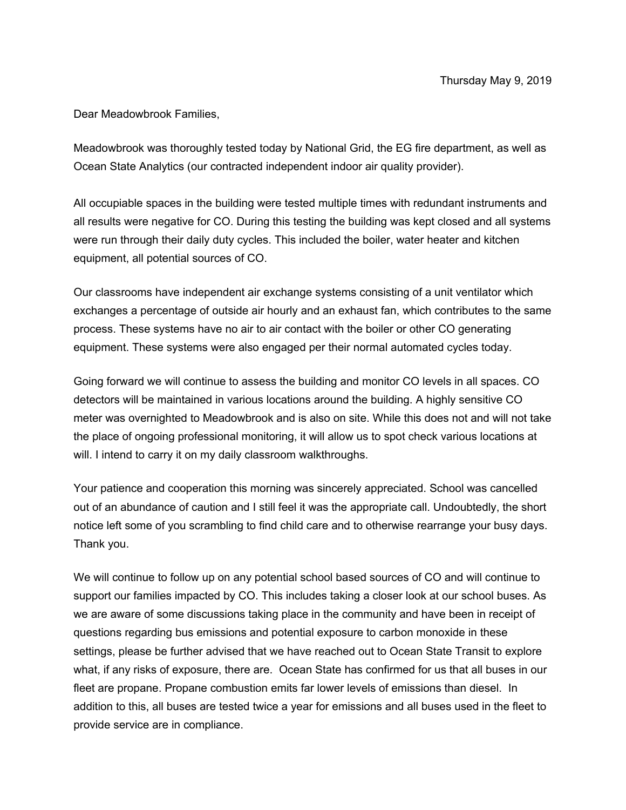Dear Meadowbrook Families,

Meadowbrook was thoroughly tested today by National Grid, the EG fire department, as well as Ocean State Analytics (our contracted independent indoor air quality provider).

All occupiable spaces in the building were tested multiple times with redundant instruments and all results were negative for CO. During this testing the building was kept closed and all systems were run through their daily duty cycles. This included the boiler, water heater and kitchen equipment, all potential sources of CO.

Our classrooms have independent air exchange systems consisting of a unit ventilator which exchanges a percentage of outside air hourly and an exhaust fan, which contributes to the same process. These systems have no air to air contact with the boiler or other CO generating equipment. These systems were also engaged per their normal automated cycles today.

Going forward we will continue to assess the building and monitor CO levels in all spaces. CO detectors will be maintained in various locations around the building. A highly sensitive CO meter was overnighted to Meadowbrook and is also on site. While this does not and will not take the place of ongoing professional monitoring, it will allow us to spot check various locations at will. I intend to carry it on my daily classroom walkthroughs.

Your patience and cooperation this morning was sincerely appreciated. School was cancelled out of an abundance of caution and I still feel it was the appropriate call. Undoubtedly, the short notice left some of you scrambling to find child care and to otherwise rearrange your busy days. Thank you.

We will continue to follow up on any potential school based sources of CO and will continue to support our families impacted by CO. This includes taking a closer look at our school buses. As we are aware of some discussions taking place in the community and have been in receipt of questions regarding bus emissions and potential exposure to carbon monoxide in these settings, please be further advised that we have reached out to Ocean State Transit to explore what, if any risks of exposure, there are. Ocean State has confirmed for us that all buses in our fleet are propane. Propane combustion emits far lower levels of emissions than diesel. In addition to this, all buses are tested twice a year for emissions and all buses used in the fleet to provide service are in compliance.